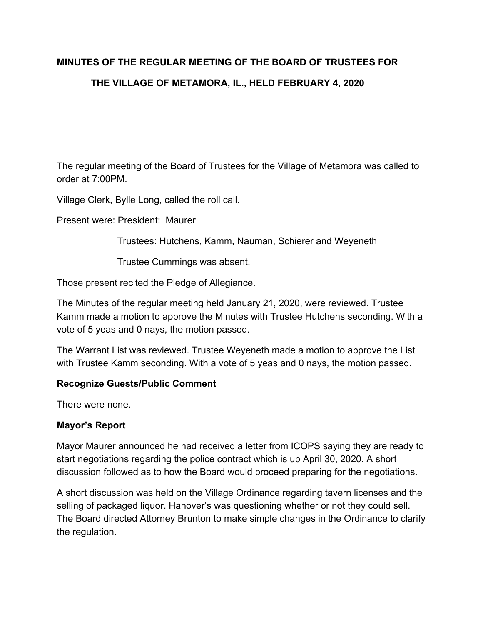# **MINUTES OF THE REGULAR MEETING OF THE BOARD OF TRUSTEES FOR THE VILLAGE OF METAMORA, IL., HELD FEBRUARY 4, 2020**

The regular meeting of the Board of Trustees for the Village of Metamora was called to order at 7:00PM.

Village Clerk, Bylle Long, called the roll call.

Present were: President: Maurer

Trustees: Hutchens, Kamm, Nauman, Schierer and Weyeneth

Trustee Cummings was absent.

Those present recited the Pledge of Allegiance.

The Minutes of the regular meeting held January 21, 2020, were reviewed. Trustee Kamm made a motion to approve the Minutes with Trustee Hutchens seconding. With a vote of 5 yeas and 0 nays, the motion passed.

The Warrant List was reviewed. Trustee Weyeneth made a motion to approve the List with Trustee Kamm seconding. With a vote of 5 yeas and 0 nays, the motion passed.

#### **Recognize Guests/Public Comment**

There were none.

#### **Mayor's Report**

Mayor Maurer announced he had received a letter from ICOPS saying they are ready to start negotiations regarding the police contract which is up April 30, 2020. A short discussion followed as to how the Board would proceed preparing for the negotiations.

A short discussion was held on the Village Ordinance regarding tavern licenses and the selling of packaged liquor. Hanover's was questioning whether or not they could sell. The Board directed Attorney Brunton to make simple changes in the Ordinance to clarify the regulation.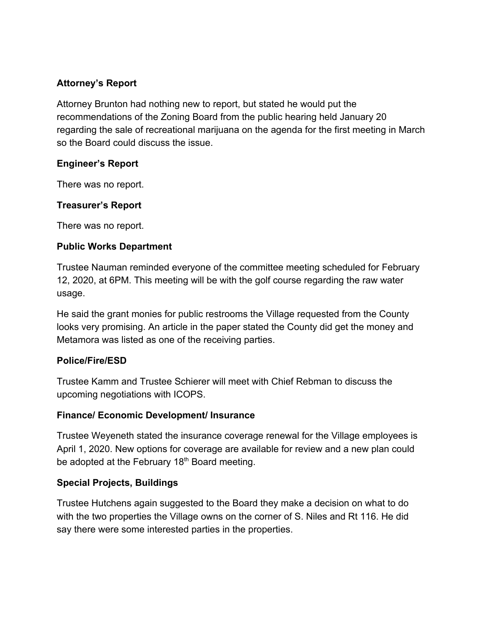## **Attorney's Report**

Attorney Brunton had nothing new to report, but stated he would put the recommendations of the Zoning Board from the public hearing held January 20 regarding the sale of recreational marijuana on the agenda for the first meeting in March so the Board could discuss the issue.

## **Engineer's Report**

There was no report.

## **Treasurer's Report**

There was no report.

## **Public Works Department**

Trustee Nauman reminded everyone of the committee meeting scheduled for February 12, 2020, at 6PM. This meeting will be with the golf course regarding the raw water usage.

He said the grant monies for public restrooms the Village requested from the County looks very promising. An article in the paper stated the County did get the money and Metamora was listed as one of the receiving parties.

## **Police/Fire/ESD**

Trustee Kamm and Trustee Schierer will meet with Chief Rebman to discuss the upcoming negotiations with ICOPS.

## **Finance/ Economic Development/ Insurance**

Trustee Weyeneth stated the insurance coverage renewal for the Village employees is April 1, 2020. New options for coverage are available for review and a new plan could be adopted at the February 18<sup>th</sup> Board meeting.

## **Special Projects, Buildings**

Trustee Hutchens again suggested to the Board they make a decision on what to do with the two properties the Village owns on the corner of S. Niles and Rt 116. He did say there were some interested parties in the properties.